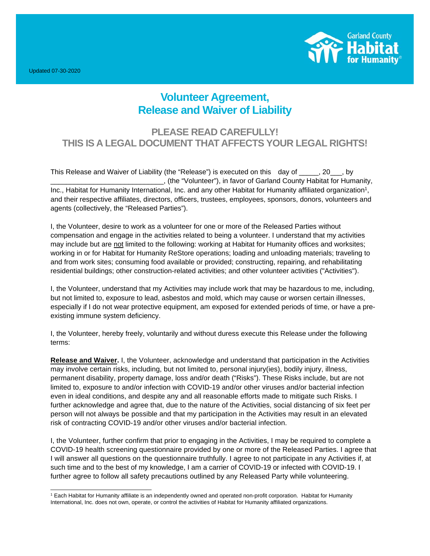Updated 07-30-2020



## **Volunteer Agreement, Release and Waiver of Liability**

## **PLEASE READ CAREFULLY! THIS IS A LEGAL DOCUMENT THAT AFFECTS YOUR LEGAL RIGHTS!**

This Release and Waiver of Liability (the "Release") is executed on this day of  $\qquad$ , 20  $\qquad$ , by \_\_\_\_\_\_\_\_\_\_\_\_\_\_\_\_\_\_\_\_\_\_\_\_\_\_\_\_\_, (the "Volunteer"), in favor of Garland County Habitat for Humanity, Inc., Habitat for Humanity International, Inc. and any other Habitat for Humanity affiliated organization<sup>1</sup>, and their respective affiliates, directors, officers, trustees, employees, sponsors, donors, volunteers and agents (collectively, the "Released Parties").

I, the Volunteer, desire to work as a volunteer for one or more of the Released Parties without compensation and engage in the activities related to being a volunteer. I understand that my activities may include but are not limited to the following: working at Habitat for Humanity offices and worksites; working in or for Habitat for Humanity ReStore operations; loading and unloading materials; traveling to and from work sites; consuming food available or provided; constructing, repairing, and rehabilitating residential buildings; other construction-related activities; and other volunteer activities ("Activities").

I, the Volunteer, understand that my Activities may include work that may be hazardous to me, including, but not limited to, exposure to lead, asbestos and mold, which may cause or worsen certain illnesses, especially if I do not wear protective equipment, am exposed for extended periods of time, or have a preexisting immune system deficiency.

I, the Volunteer, hereby freely, voluntarily and without duress execute this Release under the following terms:

**Release and Waiver.** I, the Volunteer, acknowledge and understand that participation in the Activities may involve certain risks, including, but not limited to, personal injury(ies), bodily injury, illness, permanent disability, property damage, loss and/or death ("Risks"). These Risks include, but are not limited to, exposure to and/or infection with COVID-19 and/or other viruses and/or bacterial infection even in ideal conditions, and despite any and all reasonable efforts made to mitigate such Risks. I further acknowledge and agree that, due to the nature of the Activities, social distancing of six feet per person will not always be possible and that my participation in the Activities may result in an elevated risk of contracting COVID-19 and/or other viruses and/or bacterial infection.

I, the Volunteer, further confirm that prior to engaging in the Activities, I may be required to complete a COVID-19 health screening questionnaire provided by one or more of the Released Parties. I agree that I will answer all questions on the questionnaire truthfully. I agree to not participate in any Activities if, at such time and to the best of my knowledge, I am a carrier of COVID-19 or infected with COVID-19. I further agree to follow all safety precautions outlined by any Released Party while volunteering.

<sup>1</sup> Each Habitat for Humanity affiliate is an independently owned and operated non-profit corporation. Habitat for Humanity International, Inc. does not own, operate, or control the activities of Habitat for Humanity affiliated organizations.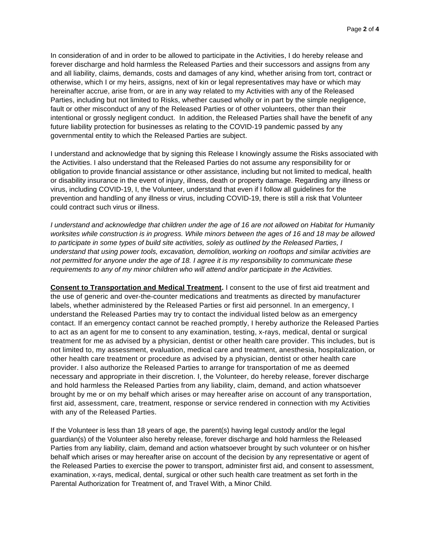In consideration of and in order to be allowed to participate in the Activities, I do hereby release and forever discharge and hold harmless the Released Parties and their successors and assigns from any and all liability, claims, demands, costs and damages of any kind, whether arising from tort, contract or otherwise, which I or my heirs, assigns, next of kin or legal representatives may have or which may hereinafter accrue, arise from, or are in any way related to my Activities with any of the Released Parties, including but not limited to Risks, whether caused wholly or in part by the simple negligence, fault or other misconduct of any of the Released Parties or of other volunteers, other than their intentional or grossly negligent conduct. In addition, the Released Parties shall have the benefit of any future liability protection for businesses as relating to the COVID-19 pandemic passed by any governmental entity to which the Released Parties are subject.

I understand and acknowledge that by signing this Release I knowingly assume the Risks associated with the Activities. I also understand that the Released Parties do not assume any responsibility for or obligation to provide financial assistance or other assistance, including but not limited to medical, health or disability insurance in the event of injury, illness, death or property damage. Regarding any illness or virus, including COVID-19, I, the Volunteer, understand that even if I follow all guidelines for the prevention and handling of any illness or virus, including COVID-19, there is still a risk that Volunteer could contract such virus or illness.

*I understand and acknowledge that children under the age of 16 are not allowed on Habitat for Humanity worksites while construction is in progress. While minors between the ages of 16 and 18 may be allowed to participate in some types of build site activities, solely as outlined by the Released Parties, I understand that using power tools, excavation, demolition, working on rooftops and similar activities are not permitted for anyone under the age of 18. I agree it is my responsibility to communicate these requirements to any of my minor children who will attend and/or participate in the Activities.* 

**Consent to Transportation and Medical Treatment.** I consent to the use of first aid treatment and the use of generic and over-the-counter medications and treatments as directed by manufacturer labels, whether administered by the Released Parties or first aid personnel. In an emergency, I understand the Released Parties may try to contact the individual listed below as an emergency contact. If an emergency contact cannot be reached promptly, I hereby authorize the Released Parties to act as an agent for me to consent to any examination, testing, x-rays, medical, dental or surgical treatment for me as advised by a physician, dentist or other health care provider. This includes, but is not limited to, my assessment, evaluation, medical care and treatment, anesthesia, hospitalization, or other health care treatment or procedure as advised by a physician, dentist or other health care provider. I also authorize the Released Parties to arrange for transportation of me as deemed necessary and appropriate in their discretion. I, the Volunteer, do hereby release, forever discharge and hold harmless the Released Parties from any liability, claim, demand, and action whatsoever brought by me or on my behalf which arises or may hereafter arise on account of any transportation, first aid, assessment, care, treatment, response or service rendered in connection with my Activities with any of the Released Parties.

If the Volunteer is less than 18 years of age, the parent(s) having legal custody and/or the legal guardian(s) of the Volunteer also hereby release, forever discharge and hold harmless the Released Parties from any liability, claim, demand and action whatsoever brought by such volunteer or on his/her behalf which arises or may hereafter arise on account of the decision by any representative or agent of the Released Parties to exercise the power to transport, administer first aid, and consent to assessment, examination, x-rays, medical, dental, surgical or other such health care treatment as set forth in the Parental Authorization for Treatment of, and Travel With, a Minor Child.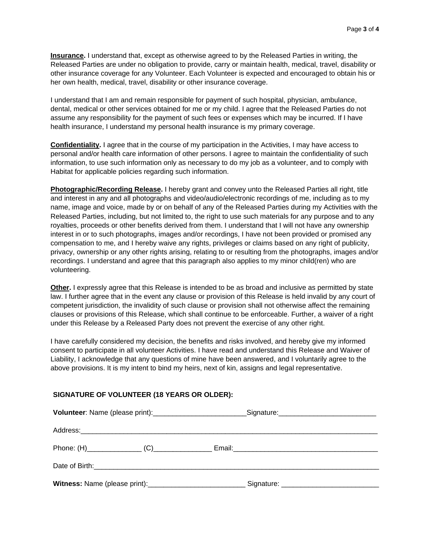**Insurance.** I understand that, except as otherwise agreed to by the Released Parties in writing, the Released Parties are under no obligation to provide, carry or maintain health, medical, travel, disability or other insurance coverage for any Volunteer. Each Volunteer is expected and encouraged to obtain his or her own health, medical, travel, disability or other insurance coverage.

I understand that I am and remain responsible for payment of such hospital, physician, ambulance, dental, medical or other services obtained for me or my child. I agree that the Released Parties do not assume any responsibility for the payment of such fees or expenses which may be incurred. If I have health insurance, I understand my personal health insurance is my primary coverage.

**Confidentiality.** I agree that in the course of my participation in the Activities, I may have access to personal and/or health care information of other persons. I agree to maintain the confidentiality of such information, to use such information only as necessary to do my job as a volunteer, and to comply with Habitat for applicable policies regarding such information.

**Photographic/Recording Release.** I hereby grant and convey unto the Released Parties all right, title and interest in any and all photographs and video/audio/electronic recordings of me, including as to my name, image and voice, made by or on behalf of any of the Released Parties during my Activities with the Released Parties, including, but not limited to, the right to use such materials for any purpose and to any royalties, proceeds or other benefits derived from them. I understand that I will not have any ownership interest in or to such photographs, images and/or recordings, I have not been provided or promised any compensation to me, and I hereby waive any rights, privileges or claims based on any right of publicity, privacy, ownership or any other rights arising, relating to or resulting from the photographs, images and/or recordings. I understand and agree that this paragraph also applies to my minor child(ren) who are volunteering.

**Other.** I expressly agree that this Release is intended to be as broad and inclusive as permitted by state law. I further agree that in the event any clause or provision of this Release is held invalid by any court of competent jurisdiction, the invalidity of such clause or provision shall not otherwise affect the remaining clauses or provisions of this Release, which shall continue to be enforceable. Further, a waiver of a right under this Release by a Released Party does not prevent the exercise of any other right.

I have carefully considered my decision, the benefits and risks involved, and hereby give my informed consent to participate in all volunteer Activities. I have read and understand this Release and Waiver of Liability, I acknowledge that any questions of mine have been answered, and I voluntarily agree to the above provisions. It is my intent to bind my heirs, next of kin, assigns and legal representative.

## **SIGNATURE OF VOLUNTEER (18 YEARS OR OLDER):**